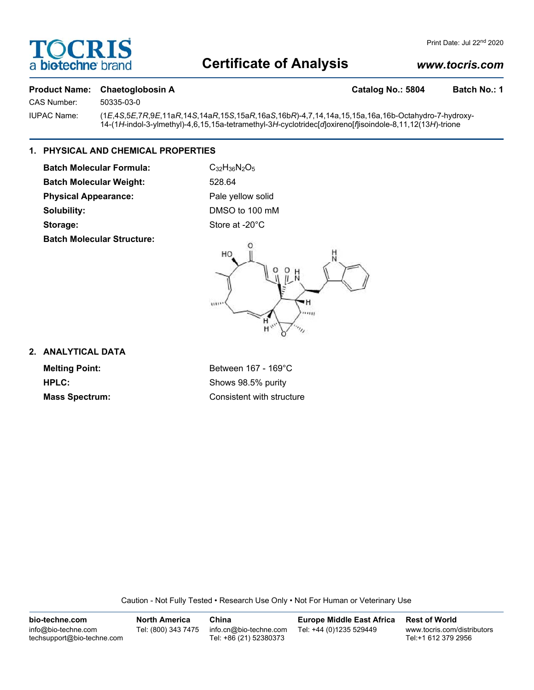

# **Certificate of Analysis**

# *www.tocris.com*

## **Product Name: Chaetoglobosin A Catalog No.: 5804 Batch No.: 1**

CAS Number: 50335-03-0

IUPAC Name: (1*E*,4*S*,5*E*,7*R*,9*E*,11a*R*,14*S*,14a*R*,15*S*,15a*R*,16a*S*,16b*R*)-4,7,14,14a,15,15a,16a,16b-Octahydro-7-hydroxy-14-(1*H*-indol-3-ylmethyl)-4,6,15,15a-tetramethyl-3*H*-cyclotridec[*d*]oxireno[*f*]isoindole-8,11,12(13*H*)-trione

# **1. PHYSICAL AND CHEMICAL PROPERTIES**

**Batch Molecular Formula:** C<sub>32</sub>H<sub>36</sub>N<sub>2</sub>O<sub>5</sub> **Batch Molecular Weight:** 528.64 **Physical Appearance:** Pale yellow solid **Solubility:** DMSO to 100 mM Storage: Store at -20°C **Batch Molecular Structure:**



# **2. ANALYTICAL DATA**

**Melting Point:** Between 167 - 169°C **HPLC:** Shows 98.5% purity **Mass Spectrum:** Consistent with structure

Caution - Not Fully Tested • Research Use Only • Not For Human or Veterinary Use

**bio-techne.com** info@bio-techne.com techsupport@bio-techne.com **North America** Tel: (800) 343 7475 **China** info.cn@bio-techne.com Tel: +86 (21) 52380373 **Europe Middle East Africa** Tel: +44 (0)1235 529449 **Rest of World** www.tocris.com/distributors Tel:+1 612 379 2956